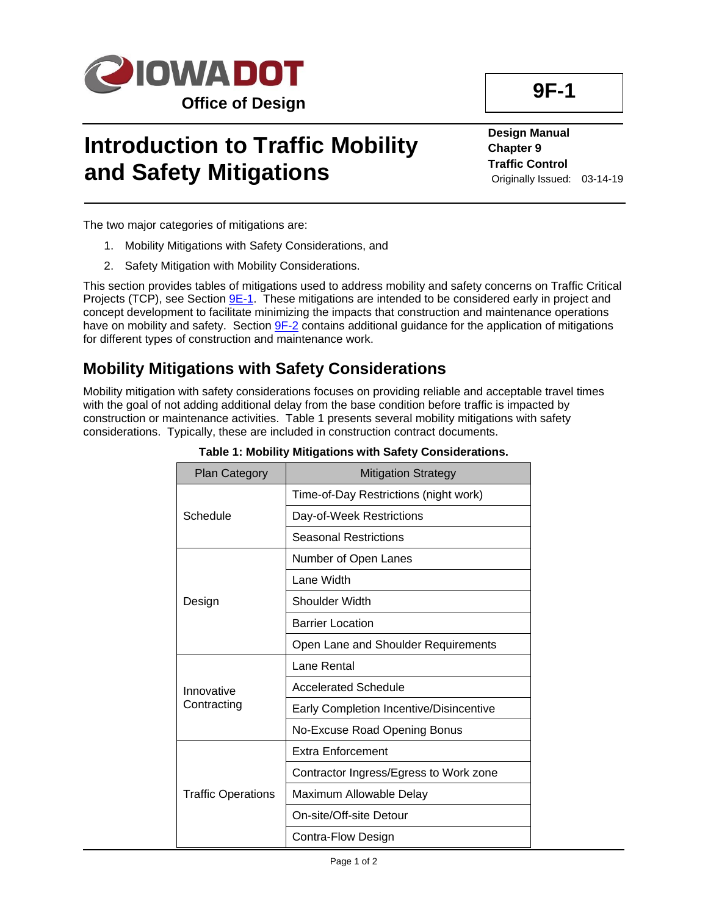

# **Introduction to Traffic Mobility and Safety Mitigations**

**9F-1**

**Design Manual Chapter 9 Traffic Control** Originally Issued: 03-14-19

The two major categories of mitigations are:

- 1. Mobility Mitigations with Safety Considerations, and
- 2. Safety Mitigation with Mobility Considerations.

This section provides tables of mitigations used to address mobility and safety concerns on Traffic Critical Projects (TCP), see Section **9E-1**. These mitigations are intended to be considered early in project and concept development to facilitate minimizing the impacts that construction and maintenance operations have on mobility and safety. Section [9F-2](09F-02.pdf) contains additional guidance for the application of mitigations for different types of construction and maintenance work.

### **Mobility Mitigations with Safety Considerations**

Mobility mitigation with safety considerations focuses on providing reliable and acceptable travel times with the goal of not adding additional delay from the base condition before traffic is impacted by construction or maintenance activities. Table 1 presents several mobility mitigations with safety considerations. Typically, these are included in construction contract documents.

| <b>Plan Category</b>      | <b>Mitigation Strategy</b>              |
|---------------------------|-----------------------------------------|
| Schedule                  | Time-of-Day Restrictions (night work)   |
|                           | Day-of-Week Restrictions                |
|                           | Seasonal Restrictions                   |
| Design                    | Number of Open Lanes                    |
|                           | Lane Width                              |
|                           | Shoulder Width                          |
|                           | <b>Barrier Location</b>                 |
|                           | Open Lane and Shoulder Requirements     |
| Innovative<br>Contracting | Lane Rental                             |
|                           | <b>Accelerated Schedule</b>             |
|                           | Early Completion Incentive/Disincentive |
|                           | No-Excuse Road Opening Bonus            |
| <b>Traffic Operations</b> | Extra Enforcement                       |
|                           | Contractor Ingress/Egress to Work zone  |
|                           | Maximum Allowable Delay                 |
|                           | On-site/Off-site Detour                 |
|                           | Contra-Flow Design                      |

#### **Table 1: Mobility Mitigations with Safety Considerations.**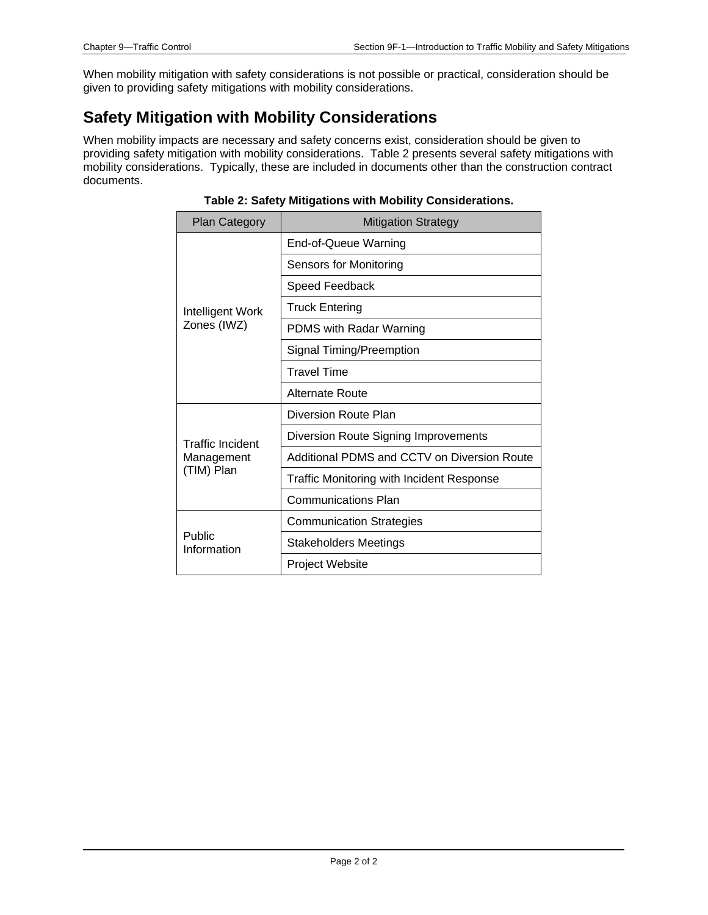When mobility mitigation with safety considerations is not possible or practical, consideration should be given to providing safety mitigations with mobility considerations.

## **Safety Mitigation with Mobility Considerations**

When mobility impacts are necessary and safety concerns exist, consideration should be given to providing safety mitigation with mobility considerations. Table 2 presents several safety mitigations with mobility considerations. Typically, these are included in documents other than the construction contract documents.

| <b>Plan Category</b>                                | <b>Mitigation Strategy</b>                       |
|-----------------------------------------------------|--------------------------------------------------|
| Intelligent Work<br>Zones (IWZ)                     | End-of-Queue Warning                             |
|                                                     | Sensors for Monitoring                           |
|                                                     | Speed Feedback                                   |
|                                                     | <b>Truck Entering</b>                            |
|                                                     | PDMS with Radar Warning                          |
|                                                     | Signal Timing/Preemption                         |
|                                                     | <b>Travel Time</b>                               |
|                                                     | Alternate Route                                  |
| <b>Traffic Incident</b><br>Management<br>(TIM) Plan | Diversion Route Plan                             |
|                                                     | Diversion Route Signing Improvements             |
|                                                     | Additional PDMS and CCTV on Diversion Route      |
|                                                     | <b>Traffic Monitoring with Incident Response</b> |
|                                                     | <b>Communications Plan</b>                       |
| Public<br>Information                               | <b>Communication Strategies</b>                  |
|                                                     | <b>Stakeholders Meetings</b>                     |
|                                                     | <b>Project Website</b>                           |

**Table 2: Safety Mitigations with Mobility Considerations.**